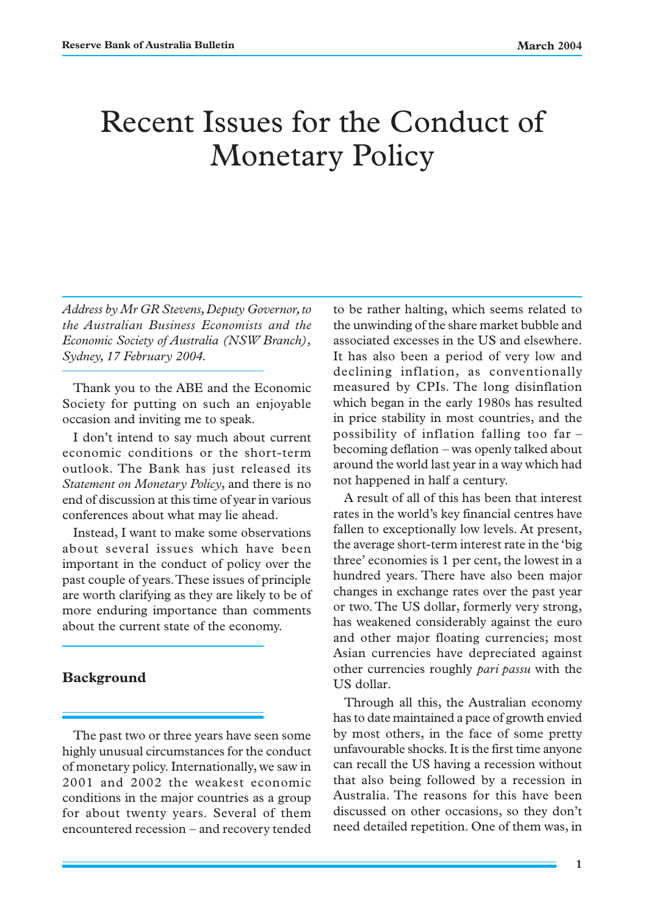# Recent Issues for the Conduct of Monetary Policy

*Address by Mr GR Stevens, Deputy Governor, to the Australian Business Economists and the Economic Society of Australia (NSW Branch), Sydney, 17 February 2004.*

Thank you to the ABE and the Economic Society for putting on such an enjoyable occasion and inviting me to speak.

I don't intend to say much about current economic conditions or the short-term outlook. The Bank has just released its *Statement on Monetary Policy*, and there is no end of discussion at this time of year in various conferences about what may lie ahead.

Instead, I want to make some observations about several issues which have been important in the conduct of policy over the past couple of years. These issues of principle are worth clarifying as they are likely to be of more enduring importance than comments about the current state of the economy.

### **Background**

The past two or three years have seen some highly unusual circumstances for the conduct of monetary policy. Internationally, we saw in 2001 and 2002 the weakest economic conditions in the major countries as a group for about twenty years. Several of them encountered recession – and recovery tended

to be rather halting, which seems related to the unwinding of the share market bubble and associated excesses in the US and elsewhere. It has also been a period of very low and declining inflation, as conventionally measured by CPIs. The long disinflation which began in the early 1980s has resulted in price stability in most countries, and the possibility of inflation falling too far – becoming deflation – was openly talked about around the world last year in a way which had not happened in half a century.

A result of all of this has been that interest rates in the world's key financial centres have fallen to exceptionally low levels. At present, the average short-term interest rate in the 'big three' economies is 1 per cent, the lowest in a hundred years. There have also been major changes in exchange rates over the past year or two. The US dollar, formerly very strong, has weakened considerably against the euro and other major floating currencies; most Asian currencies have depreciated against other currencies roughly *pari passu* with the US dollar.

Through all this, the Australian economy has to date maintained a pace of growth envied by most others, in the face of some pretty unfavourable shocks. It is the first time anyone can recall the US having a recession without that also being followed by a recession in Australia. The reasons for this have been discussed on other occasions, so they don't need detailed repetition. One of them was, in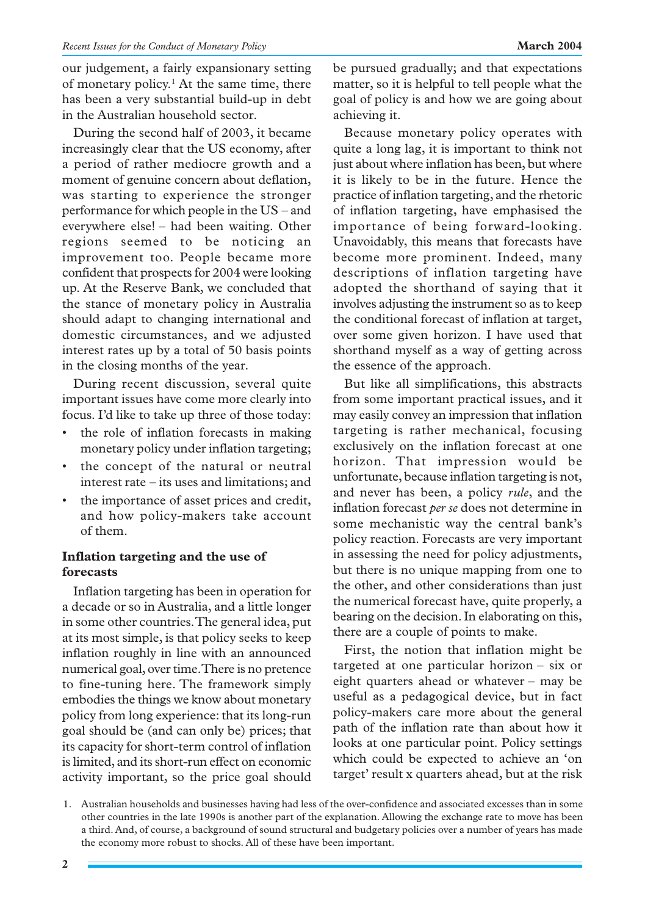our judgement, a fairly expansionary setting of monetary policy.<sup>1</sup> At the same time, there has been a very substantial build-up in debt in the Australian household sector.

During the second half of 2003, it became increasingly clear that the US economy, after a period of rather mediocre growth and a moment of genuine concern about deflation, was starting to experience the stronger performance for which people in the US – and everywhere else! – had been waiting. Other regions seemed to be noticing an improvement too. People became more confident that prospects for 2004 were looking up. At the Reserve Bank, we concluded that the stance of monetary policy in Australia should adapt to changing international and domestic circumstances, and we adjusted interest rates up by a total of 50 basis points in the closing months of the year.

During recent discussion, several quite important issues have come more clearly into focus. I'd like to take up three of those today:

- the role of inflation forecasts in making monetary policy under inflation targeting;
- the concept of the natural or neutral interest rate – its uses and limitations; and
- the importance of asset prices and credit, and how policy-makers take account of them.

# **Inflation targeting and the use of forecasts**

Inflation targeting has been in operation for a decade or so in Australia, and a little longer in some other countries. The general idea, put at its most simple, is that policy seeks to keep inflation roughly in line with an announced numerical goal, over time. There is no pretence to fine-tuning here. The framework simply embodies the things we know about monetary policy from long experience: that its long-run goal should be (and can only be) prices; that its capacity for short-term control of inflation is limited, and its short-run effect on economic activity important, so the price goal should be pursued gradually; and that expectations matter, so it is helpful to tell people what the goal of policy is and how we are going about achieving it.

Because monetary policy operates with quite a long lag, it is important to think not just about where inflation has been, but where it is likely to be in the future. Hence the practice of inflation targeting, and the rhetoric of inflation targeting, have emphasised the importance of being forward-looking. Unavoidably, this means that forecasts have become more prominent. Indeed, many descriptions of inflation targeting have adopted the shorthand of saying that it involves adjusting the instrument so as to keep the conditional forecast of inflation at target, over some given horizon. I have used that shorthand myself as a way of getting across the essence of the approach.

But like all simplifications, this abstracts from some important practical issues, and it may easily convey an impression that inflation targeting is rather mechanical, focusing exclusively on the inflation forecast at one horizon. That impression would be unfortunate, because inflation targeting is not, and never has been, a policy *rule*, and the inflation forecast *per se* does not determine in some mechanistic way the central bank's policy reaction. Forecasts are very important in assessing the need for policy adjustments, but there is no unique mapping from one to the other, and other considerations than just the numerical forecast have, quite properly, a bearing on the decision. In elaborating on this, there are a couple of points to make.

First, the notion that inflation might be targeted at one particular horizon – six or eight quarters ahead or whatever – may be useful as a pedagogical device, but in fact policy-makers care more about the general path of the inflation rate than about how it looks at one particular point. Policy settings which could be expected to achieve an 'on target' result x quarters ahead, but at the risk

<sup>1.</sup> Australian households and businesses having had less of the over-confidence and associated excesses than in some other countries in the late 1990s is another part of the explanation. Allowing the exchange rate to move has been a third. And, of course, a background of sound structural and budgetary policies over a number of years has made the economy more robust to shocks. All of these have been important.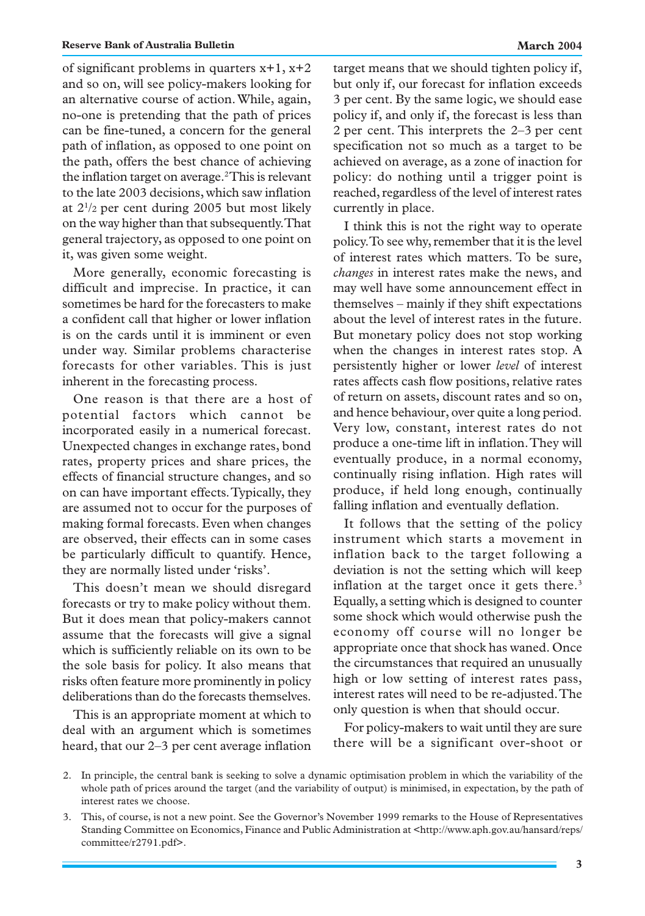of significant problems in quarters x+1, x+2 and so on, will see policy-makers looking for an alternative course of action. While, again, no-one is pretending that the path of prices can be fine-tuned, a concern for the general path of inflation, as opposed to one point on the path, offers the best chance of achieving the inflation target on average.<sup>2</sup>This is relevant to the late 2003 decisions, which saw inflation at 21 /2 per cent during 2005 but most likely on the way higher than that subsequently. That general trajectory, as opposed to one point on it, was given some weight.

More generally, economic forecasting is difficult and imprecise. In practice, it can sometimes be hard for the forecasters to make a confident call that higher or lower inflation is on the cards until it is imminent or even under way. Similar problems characterise forecasts for other variables. This is just inherent in the forecasting process.

One reason is that there are a host of potential factors which cannot be incorporated easily in a numerical forecast. Unexpected changes in exchange rates, bond rates, property prices and share prices, the effects of financial structure changes, and so on can have important effects. Typically, they are assumed not to occur for the purposes of making formal forecasts. Even when changes are observed, their effects can in some cases be particularly difficult to quantify. Hence, they are normally listed under 'risks'.

This doesn't mean we should disregard forecasts or try to make policy without them. But it does mean that policy-makers cannot assume that the forecasts will give a signal which is sufficiently reliable on its own to be the sole basis for policy. It also means that risks often feature more prominently in policy deliberations than do the forecasts themselves.

This is an appropriate moment at which to deal with an argument which is sometimes heard, that our 2–3 per cent average inflation target means that we should tighten policy if, but only if, our forecast for inflation exceeds 3 per cent. By the same logic, we should ease policy if, and only if, the forecast is less than 2 per cent. This interprets the 2–3 per cent specification not so much as a target to be achieved on average, as a zone of inaction for policy: do nothing until a trigger point is reached, regardless of the level of interest rates currently in place.

I think this is not the right way to operate policy. To see why, remember that it is the level of interest rates which matters. To be sure, *changes* in interest rates make the news, and may well have some announcement effect in themselves – mainly if they shift expectations about the level of interest rates in the future. But monetary policy does not stop working when the changes in interest rates stop. A persistently higher or lower *level* of interest rates affects cash flow positions, relative rates of return on assets, discount rates and so on, and hence behaviour, over quite a long period. Very low, constant, interest rates do not produce a one-time lift in inflation. They will eventually produce, in a normal economy, continually rising inflation. High rates will produce, if held long enough, continually falling inflation and eventually deflation.

It follows that the setting of the policy instrument which starts a movement in inflation back to the target following a deviation is not the setting which will keep inflation at the target once it gets there.<sup>3</sup> Equally, a setting which is designed to counter some shock which would otherwise push the economy off course will no longer be appropriate once that shock has waned. Once the circumstances that required an unusually high or low setting of interest rates pass, interest rates will need to be re-adjusted. The only question is when that should occur.

For policy-makers to wait until they are sure there will be a significant over-shoot or

<sup>2.</sup> In principle, the central bank is seeking to solve a dynamic optimisation problem in which the variability of the whole path of prices around the target (and the variability of output) is minimised, in expectation, by the path of interest rates we choose.

<sup>3.</sup> This, of course, is not a new point. See the Governor's November 1999 remarks to the House of Representatives Standing Committee on Economics, Finance and Public Administration at <http://www.aph.gov.au/hansard/reps/ committee/r2791.pdf>.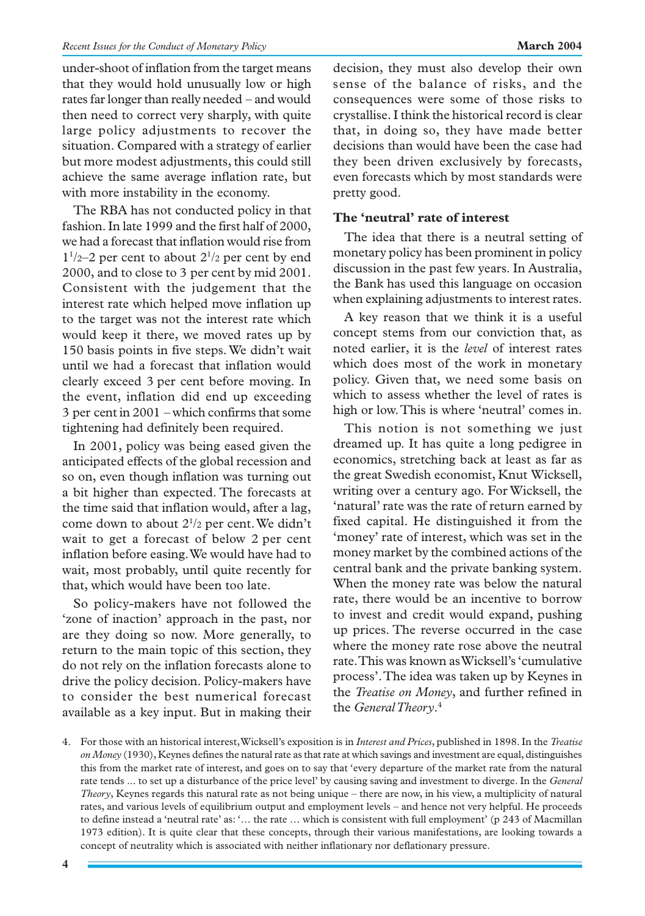under-shoot of inflation from the target means that they would hold unusually low or high rates far longer than really needed – and would then need to correct very sharply, with quite large policy adjustments to recover the situation. Compared with a strategy of earlier but more modest adjustments, this could still achieve the same average inflation rate, but with more instability in the economy.

The RBA has not conducted policy in that fashion. In late 1999 and the first half of 2000, we had a forecast that inflation would rise from  $1\frac{1}{2}$  per cent to about  $2\frac{1}{2}$  per cent by end 2000, and to close to 3 per cent by mid 2001. Consistent with the judgement that the interest rate which helped move inflation up to the target was not the interest rate which would keep it there, we moved rates up by 150 basis points in five steps. We didn't wait until we had a forecast that inflation would clearly exceed 3 per cent before moving. In the event, inflation did end up exceeding 3 per cent in 2001 – which confirms that some tightening had definitely been required.

In 2001, policy was being eased given the anticipated effects of the global recession and so on, even though inflation was turning out a bit higher than expected. The forecasts at the time said that inflation would, after a lag, come down to about 21 /2 per cent. We didn't wait to get a forecast of below 2 per cent inflation before easing. We would have had to wait, most probably, until quite recently for that, which would have been too late.

So policy-makers have not followed the 'zone of inaction' approach in the past, nor are they doing so now. More generally, to return to the main topic of this section, they do not rely on the inflation forecasts alone to drive the policy decision. Policy-makers have to consider the best numerical forecast available as a key input. But in making their decision, they must also develop their own sense of the balance of risks, and the consequences were some of those risks to crystallise. I think the historical record is clear that, in doing so, they have made better decisions than would have been the case had they been driven exclusively by forecasts, even forecasts which by most standards were pretty good.

## **The 'neutral' rate of interest**

The idea that there is a neutral setting of monetary policy has been prominent in policy discussion in the past few years. In Australia, the Bank has used this language on occasion when explaining adjustments to interest rates.

A key reason that we think it is a useful concept stems from our conviction that, as noted earlier, it is the *level* of interest rates which does most of the work in monetary policy. Given that, we need some basis on which to assess whether the level of rates is high or low. This is where 'neutral' comes in.

This notion is not something we just dreamed up. It has quite a long pedigree in economics, stretching back at least as far as the great Swedish economist, Knut Wicksell, writing over a century ago. For Wicksell, the 'natural' rate was the rate of return earned by fixed capital. He distinguished it from the 'money' rate of interest, which was set in the money market by the combined actions of the central bank and the private banking system. When the money rate was below the natural rate, there would be an incentive to borrow to invest and credit would expand, pushing up prices. The reverse occurred in the case where the money rate rose above the neutral rate. This was known as Wicksell's 'cumulative process'. The idea was taken up by Keynes in the *Treatise on Money*, and further refined in the *General Theory*. 4

<sup>4.</sup> For those with an historical interest, Wicksell's exposition is in *Interest and Prices*, published in 1898. In the *Treatise on Money* (1930), Keynes defines the natural rate as that rate at which savings and investment are equal, distinguishes this from the market rate of interest, and goes on to say that 'every departure of the market rate from the natural rate tends ... to set up a disturbance of the price level' by causing saving and investment to diverge. In the *General Theory*, Keynes regards this natural rate as not being unique – there are now, in his view, a multiplicity of natural rates, and various levels of equilibrium output and employment levels – and hence not very helpful. He proceeds to define instead a 'neutral rate' as: '… the rate … which is consistent with full employment' (p 243 of Macmillan 1973 edition). It is quite clear that these concepts, through their various manifestations, are looking towards a concept of neutrality which is associated with neither inflationary nor deflationary pressure.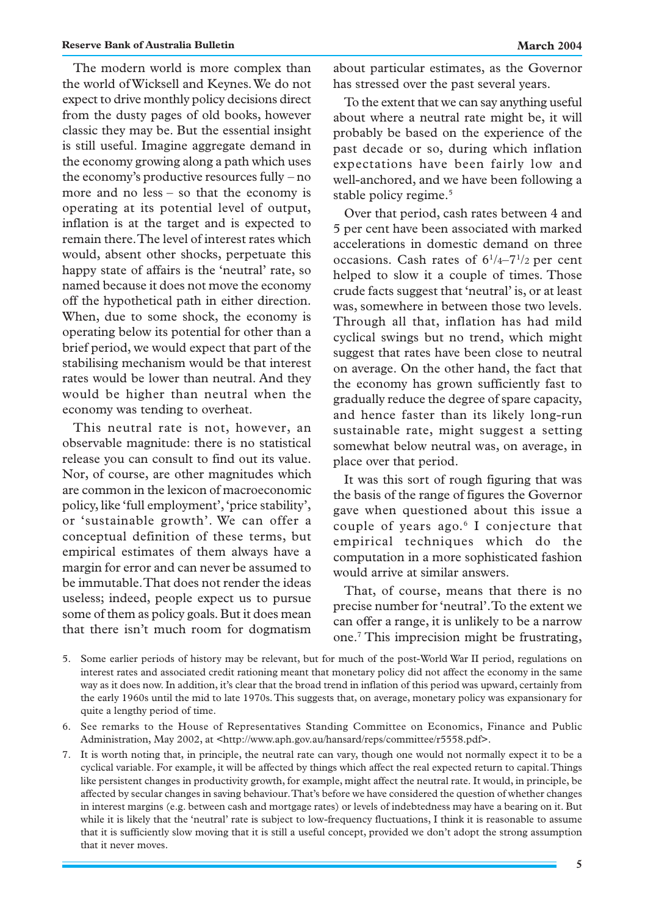The modern world is more complex than the world of Wicksell and Keynes. We do not expect to drive monthly policy decisions direct from the dusty pages of old books, however classic they may be. But the essential insight is still useful. Imagine aggregate demand in the economy growing along a path which uses the economy's productive resources fully – no more and no less – so that the economy is operating at its potential level of output, inflation is at the target and is expected to remain there. The level of interest rates which would, absent other shocks, perpetuate this happy state of affairs is the 'neutral' rate, so named because it does not move the economy off the hypothetical path in either direction. When, due to some shock, the economy is operating below its potential for other than a brief period, we would expect that part of the stabilising mechanism would be that interest rates would be lower than neutral. And they would be higher than neutral when the economy was tending to overheat.

This neutral rate is not, however, an observable magnitude: there is no statistical release you can consult to find out its value. Nor, of course, are other magnitudes which are common in the lexicon of macroeconomic policy, like 'full employment', 'price stability', or 'sustainable growth'. We can offer a conceptual definition of these terms, but empirical estimates of them always have a margin for error and can never be assumed to be immutable. That does not render the ideas useless; indeed, people expect us to pursue some of them as policy goals. But it does mean that there isn't much room for dogmatism about particular estimates, as the Governor has stressed over the past several years.

To the extent that we can say anything useful about where a neutral rate might be, it will probably be based on the experience of the past decade or so, during which inflation expectations have been fairly low and well-anchored, and we have been following a stable policy regime.<sup>5</sup>

Over that period, cash rates between 4 and 5 per cent have been associated with marked accelerations in domestic demand on three occasions. Cash rates of  $6^{1}/4-7^{1}/2$  per cent helped to slow it a couple of times. Those crude facts suggest that 'neutral' is, or at least was, somewhere in between those two levels. Through all that, inflation has had mild cyclical swings but no trend, which might suggest that rates have been close to neutral on average. On the other hand, the fact that the economy has grown sufficiently fast to gradually reduce the degree of spare capacity, and hence faster than its likely long-run sustainable rate, might suggest a setting somewhat below neutral was, on average, in place over that period.

It was this sort of rough figuring that was the basis of the range of figures the Governor gave when questioned about this issue a couple of years ago.6 I conjecture that empirical techniques which do the computation in a more sophisticated fashion would arrive at similar answers.

That, of course, means that there is no precise number for 'neutral'. To the extent we can offer a range, it is unlikely to be a narrow one.7 This imprecision might be frustrating,

- 5. Some earlier periods of history may be relevant, but for much of the post-World War II period, regulations on interest rates and associated credit rationing meant that monetary policy did not affect the economy in the same way as it does now. In addition, it's clear that the broad trend in inflation of this period was upward, certainly from the early 1960s until the mid to late 1970s. This suggests that, on average, monetary policy was expansionary for quite a lengthy period of time.
- 6. See remarks to the House of Representatives Standing Committee on Economics, Finance and Public Administration, May 2002, at <http://www.aph.gov.au/hansard/reps/committee/r5558.pdf>.
- 7. It is worth noting that, in principle, the neutral rate can vary, though one would not normally expect it to be a cyclical variable. For example, it will be affected by things which affect the real expected return to capital. Things like persistent changes in productivity growth, for example, might affect the neutral rate. It would, in principle, be affected by secular changes in saving behaviour. That's before we have considered the question of whether changes in interest margins (e.g. between cash and mortgage rates) or levels of indebtedness may have a bearing on it. But while it is likely that the 'neutral' rate is subject to low-frequency fluctuations, I think it is reasonable to assume that it is sufficiently slow moving that it is still a useful concept, provided we don't adopt the strong assumption that it never moves.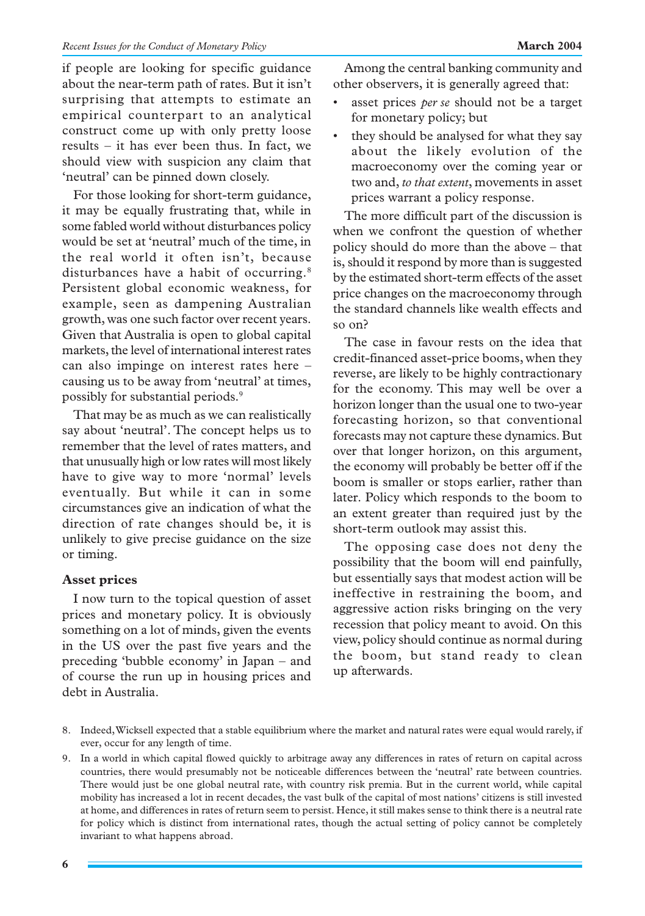if people are looking for specific guidance about the near-term path of rates. But it isn't surprising that attempts to estimate an empirical counterpart to an analytical construct come up with only pretty loose results – it has ever been thus. In fact, we should view with suspicion any claim that 'neutral' can be pinned down closely.

For those looking for short-term guidance, it may be equally frustrating that, while in some fabled world without disturbances policy would be set at 'neutral' much of the time, in the real world it often isn't, because disturbances have a habit of occurring.<sup>8</sup> Persistent global economic weakness, for example, seen as dampening Australian growth, was one such factor over recent years. Given that Australia is open to global capital markets, the level of international interest rates can also impinge on interest rates here – causing us to be away from 'neutral' at times, possibly for substantial periods.9

That may be as much as we can realistically say about 'neutral'. The concept helps us to remember that the level of rates matters, and that unusually high or low rates will most likely have to give way to more 'normal' levels eventually. But while it can in some circumstances give an indication of what the direction of rate changes should be, it is unlikely to give precise guidance on the size or timing.

### **Asset prices**

I now turn to the topical question of asset prices and monetary policy. It is obviously something on a lot of minds, given the events in the US over the past five years and the preceding 'bubble economy' in Japan – and of course the run up in housing prices and debt in Australia.

Among the central banking community and other observers, it is generally agreed that:

- asset prices *per se* should not be a target for monetary policy; but
- they should be analysed for what they say about the likely evolution of the macroeconomy over the coming year or two and, *to that extent*, movements in asset prices warrant a policy response.

The more difficult part of the discussion is when we confront the question of whether policy should do more than the above – that is, should it respond by more than is suggested by the estimated short-term effects of the asset price changes on the macroeconomy through the standard channels like wealth effects and so on?

The case in favour rests on the idea that credit-financed asset-price booms, when they reverse, are likely to be highly contractionary for the economy. This may well be over a horizon longer than the usual one to two-year forecasting horizon, so that conventional forecasts may not capture these dynamics. But over that longer horizon, on this argument, the economy will probably be better off if the boom is smaller or stops earlier, rather than later. Policy which responds to the boom to an extent greater than required just by the short-term outlook may assist this.

The opposing case does not deny the possibility that the boom will end painfully, but essentially says that modest action will be ineffective in restraining the boom, and aggressive action risks bringing on the very recession that policy meant to avoid. On this view, policy should continue as normal during the boom, but stand ready to clean up afterwards.

- 8. Indeed, Wicksell expected that a stable equilibrium where the market and natural rates were equal would rarely, if ever, occur for any length of time.
- 9. In a world in which capital flowed quickly to arbitrage away any differences in rates of return on capital across countries, there would presumably not be noticeable differences between the 'neutral' rate between countries. There would just be one global neutral rate, with country risk premia. But in the current world, while capital mobility has increased a lot in recent decades, the vast bulk of the capital of most nations' citizens is still invested at home, and differences in rates of return seem to persist. Hence, it still makes sense to think there is a neutral rate for policy which is distinct from international rates, though the actual setting of policy cannot be completely invariant to what happens abroad.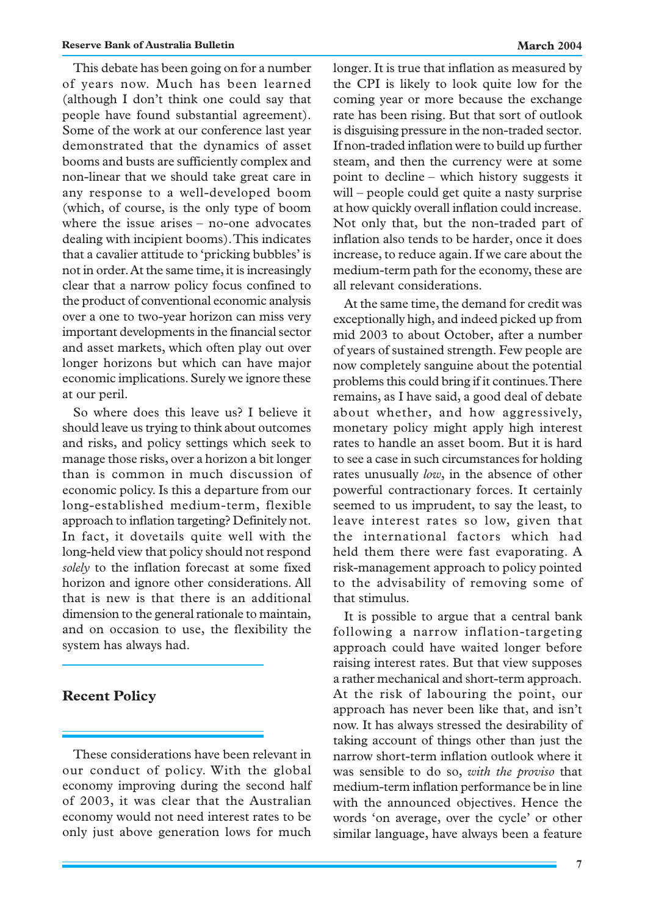This debate has been going on for a number of years now. Much has been learned (although I don't think one could say that people have found substantial agreement). Some of the work at our conference last year demonstrated that the dynamics of asset booms and busts are sufficiently complex and non-linear that we should take great care in any response to a well-developed boom (which, of course, is the only type of boom where the issue arises – no-one advocates dealing with incipient booms). This indicates that a cavalier attitude to 'pricking bubbles' is not in order. At the same time, it is increasingly clear that a narrow policy focus confined to the product of conventional economic analysis over a one to two-year horizon can miss very important developments in the financial sector and asset markets, which often play out over longer horizons but which can have major economic implications. Surely we ignore these at our peril.

So where does this leave us? I believe it should leave us trying to think about outcomes and risks, and policy settings which seek to manage those risks, over a horizon a bit longer than is common in much discussion of economic policy. Is this a departure from our long-established medium-term, flexible approach to inflation targeting? Definitely not. In fact, it dovetails quite well with the long-held view that policy should not respond *solely* to the inflation forecast at some fixed horizon and ignore other considerations. All that is new is that there is an additional dimension to the general rationale to maintain, and on occasion to use, the flexibility the system has always had.

### **Recent Policy**

These considerations have been relevant in our conduct of policy. With the global economy improving during the second half of 2003, it was clear that the Australian economy would not need interest rates to be only just above generation lows for much longer. It is true that inflation as measured by the CPI is likely to look quite low for the coming year or more because the exchange rate has been rising. But that sort of outlook is disguising pressure in the non-traded sector. If non-traded inflation were to build up further steam, and then the currency were at some point to decline – which history suggests it will – people could get quite a nasty surprise at how quickly overall inflation could increase. Not only that, but the non-traded part of inflation also tends to be harder, once it does increase, to reduce again. If we care about the medium-term path for the economy, these are all relevant considerations.

At the same time, the demand for credit was exceptionally high, and indeed picked up from mid 2003 to about October, after a number of years of sustained strength. Few people are now completely sanguine about the potential problems this could bring if it continues. There remains, as I have said, a good deal of debate about whether, and how aggressively, monetary policy might apply high interest rates to handle an asset boom. But it is hard to see a case in such circumstances for holding rates unusually *low*, in the absence of other powerful contractionary forces. It certainly seemed to us imprudent, to say the least, to leave interest rates so low, given that the international factors which had held them there were fast evaporating. A risk-management approach to policy pointed to the advisability of removing some of that stimulus.

It is possible to argue that a central bank following a narrow inflation-targeting approach could have waited longer before raising interest rates. But that view supposes a rather mechanical and short-term approach. At the risk of labouring the point, our approach has never been like that, and isn't now. It has always stressed the desirability of taking account of things other than just the narrow short-term inflation outlook where it was sensible to do so, *with the proviso* that medium-term inflation performance be in line with the announced objectives. Hence the words 'on average, over the cycle' or other similar language, have always been a feature